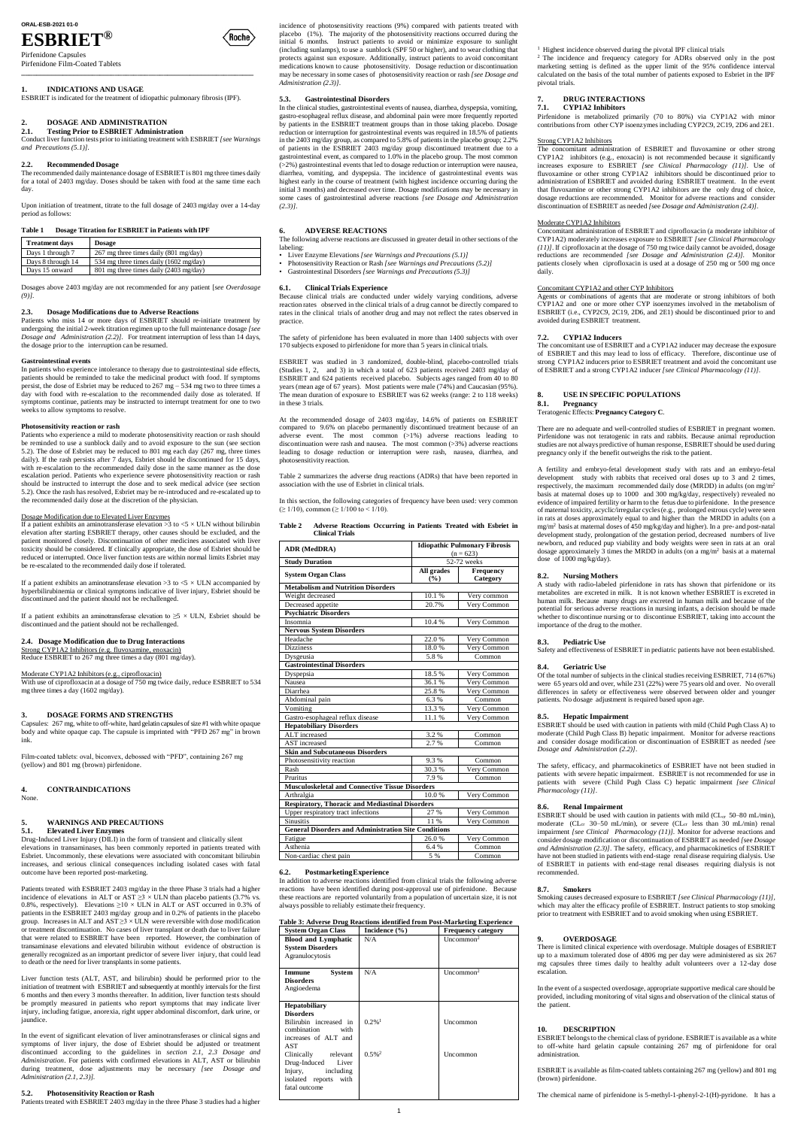# **ORAL-ESB-2021 01-0**

# **ESBRIET®**

Pirfenidone Capsules Pirfenidone Film-Coated Tablets

**\_\_\_\_\_\_\_\_\_\_\_\_\_\_\_\_\_\_\_\_\_\_\_\_\_\_\_\_\_\_\_\_\_\_\_\_\_\_\_\_\_\_\_\_\_\_\_\_\_\_\_\_\_\_\_\_\_\_\_\_\_\_**

# **1. INDICATIONS AND USAGE**

ESBRIET is indicated for the treatment of idiopathic pulmonary fibrosis (IPF).

# **2. DOSAGE AND ADMINISTRATION**

**2.1. Testing Prior to ESBRIET Administration** Conduct liver function tests prior to initiating treatment with ESBRIET *[see Warnings and Precautions (5.1)].*

# **2.2. Recommended Dosage**

The recommended daily maintenance dosage of ESBRIET is 801 mg three times daily for a total of 2403 mg/day. Doses should be taken with food at the same time each day.

Upon initiation of treatment, titrate to the full dosage of 2403 mg/day over a 14-day period as follows:

# **Table 1 Dosage Titration for ESBRIET in Patients with IPF**

| <b>Treatment days</b> | <b>Dosage</b>                           |
|-----------------------|-----------------------------------------|
| Days 1 through 7      | $267$ mg three times daily (801 mg/day) |
| Days 8 through 14     | 534 mg three times daily (1602 mg/day)  |
| Days 15 onward        | 801 mg three times daily (2403 mg/day)  |

Dosages above 2403 mg/day are not recommended for any patient [*see Overdosage (9)]*.

# **2.3. Dosage Modifications due to Adverse Reactions**

Patients who miss 14 or more days of ESBRIET should re-initiate treatment by undergoing the initial 2-week titration regimen up to the full maintenance dosage *[see Dosage and Administration (2.2)]*. For treatment interruption of less than 14 days, the dosage prior to the interruption can be resumed.

### **Gastrointestinal events**

If a patient exhibits an aminotransferase elevation >3 to <5  $\times$  ULN without bilirubin elevation after starting ESBRIET therapy, other causes should be excluded, and the patient monitored closely. Discontinuation of other medicines associated with liver toxicity should be considered. If clinically appropriate, the dose of Esbriet should be reduced or interrupted. Once liver function tests are within normal limits Esbriet may be re-escalated to the recommended daily dose if tolerated.

In patients who experience intolerance to therapy due to gastrointestinal side effects, patients should be reminded to take the medicinal product with food. If symptoms persist, the dose of Esbriet may be reduced to  $267 \text{ mg} - 534 \text{ mg}$  two to three times a day with food with re-escalation to the recommended daily dose as tolerated. If symptoms continue, patients may be instructed to interrupt treatment for one to two weeks to allow symptoms to resolve.

If a patient exhibits an aminotransferase elevation >3 to  $\leq$   $\times$  ULN accompanied by hyperbilirubinemia or clinical symptoms indicative of liver injury, Esbriet should be discontinued and the patient should not be rechallenged.

If a patient exhibits an aminotransferase elevation to  $\geq$ 5 × ULN, Esbriet should be discontinued and the patient should not be rechallenged.

# **Photosensitivity reaction or rash**

Patients who experience a mild to moderate photosensitivity reaction or rash should be reminded to use a sunblock daily and to avoid exposure to the sun (see section 5.2). The dose of Esbriet may be reduced to 801 mg each day (267 mg, three times daily). If the rash persists after 7 days, Esbriet should be discontinued for 15 days, with re-escalation to the recommended daily dose in the same manner as the dose escalation period. Patients who experience severe photosensitivity reaction or rash should be instructed to interrupt the dose and to seek medical advice (see section 5.2). Once the rash has resolved, Esbriet may be re-introduced and re-escalated up to the recommended daily dose at the discretion of the physician.

# Dosage Modification due to Elevated Liver Enzymes

# **2.4. Dosage Modification due to Drug Interactions**

Strong CYP1A2 Inhibitors (e.g. fluvoxamine, enoxacin)

Reduce ESBRIET to 267 mg three times a day (801 mg/day).

### Moderate CYP1A2 Inhibitors(e.g., ciprofloxacin)

With use of ciprofloxacin at a dosage of 750 mg twice daily, reduce ESBRIET to 534 mg three times a day (1602 mg/day).

# **3. DOSAGE FORMS AND STRENGTHS**

Capsules: 267 mg, white to off-white, hard gelatin capsules of size #1 with white opaque body and white opaque cap. The capsule is imprinted with "PFD 267 mg" in brown ink.

Film-coated tablets: oval, biconvex, debossed with "PFD", containing 267 mg (yellow) and 801 mg (brown) pirfenidone.

# **4. CONTRAINDICATIONS**

None.

# **5. WARNINGS AND PRECAUTIONS**

### **5.1. Elevated Liver Enzymes**

Drug-Induced Liver Injury (DILI) in the form of transient and clinically silent elevations in transaminases, has been commonly reported in patients treated with

Esbriet. Uncommonly, these elevations were associated with concomitant bilirubin increases, and serious clinical consequences including isolated cases with fatal outcome have been reported post-marketing.

In this section, the following categories of frequency have been used: very common (≥ 1/10), common (≥ 1/100 to < 1/10).

Patients treated with ESBRIET 2403 mg/day in the three Phase 3 trials had a higher incidence of elevations in ALT or AST  $\geq$ 3 × ULN than placebo patients (3.7% vs. 0.8%, respectively). Elevations  $\geq$  10  $\times$  ULN in ALT or AST occurred in 0.3% of patients in the ESBRIET 2403 mg/day group and in 0.2% of patients in the placebo group. Increases in ALT and  $\overrightarrow{AST} \geq 3 \times \overrightarrow{ULN}$  were reversible with dose modification or treatment discontinuation. No cases of liver transplant or death due to liver failure that were related to ESBRIET have been reported. However, the combination of transaminase elevations and elevated bilirubin without evidence of obstruction is generally recognized as an important predictor of severe liver injury, that could lead to death or the need for liver transplants in some patients.

In addition to adverse reactions identified from clinical trials the following adverse reactions have been identified during post-approval use of pirfenidone. Because these reactions are reported voluntarily from a population of uncertain size, it is not always possible to reliably estimate their frequency.

Liver function tests (ALT, AST, and bilirubin) should be performed prior to the initiation of treatment with ESBRIET and subsequently at monthly intervals for the first 6 months and then every 3 months thereafter. In addition, liver function tests should be promptly measured in patients who report symptoms that may indicate liver injury, including fatigue, anorexia, right upper abdominal discomfort, dark urine, or jaundice.

In the event of significant elevation of liver aminotransferases or clinical signs and symptoms of liver injury, the dose of Esbriet should be adjusted or treatment discontinued according to the guidelines in *section 2.1, 2.3 Dosage and Administration*. For patients with confirmed elevations in ALT, AST or bilirubin during treatment, dose adjustments may be necessary *[see Dosage and Administration (2.1, 2.3)].*

# **5.2. Photosensitivity Reaction or Rash**

Patients treated with ESBRIET 2403 mg/day in the three Phase 3 studies had a higher

incidence of photosensitivity reactions (9%) compared with patients treated with placebo (1%). The majority of the photosensitivity reactions occurred during the initial 6 months. Instruct patients to avoid or minimize exposure to sunlight (including sunlamps), to use a sunblock (SPF 50 or higher), and to wear clothing that protects against sun exposure. Additionally, instruct patients to avoid concomitant medications known to cause photosensitivity. Dosage reduction or discontinuation may be necessary in some cases of photosensitivity reaction or rash *[see Dosage and Administration (2.3)]*.

# **5.3. Gastrointestinal Disorders**

In the clinical studies, gastrointestinal events of nausea, diarrhea, dyspepsia, vomiting, gastro-esophageal reflux disease, and abdominal pain were more frequently reported by patients in the ESBRIET treatment groups than in those taking placebo. Dosage reduction or interruption for gastrointestinal events was required in 18.5% of patients in the 2403 mg/day group, as compared to 5.8% of patients in the placebo group; 2.2% of patients in the ESBRIET 2403 mg/day group discontinued treatment due to a gastrointestinal event, as compared to 1.0% in the placebo group. The most common (>2%) gastrointestinal events that led to dosage reduction or interruption were nausea, diarrhea, vomiting, and dyspepsia. The incidence of gastrointestinal events was highest early in the course of treatment (with highest incidence occurring during the initial 3 months) and decreased over time. Dosage modifications may be necessary in some cases of gastrointestinal adverse reactions *[see Dosage and Administration (2.3)]*.

> Of the total number of subjects in the clinical studies receiving ESBRIET, 714 (67%) were 65 years old and over, while 231 (22%) were 75 years old and over. No overall differences in safety or effectiveness were observed between older and younger patients. No dosage adjustment is required based upon age.

# **6. ADVERSE REACTIONS**

The following adverse reactions are discussed in greater detail in other sections of the labeling:

- Liver Enzyme Elevations *[see Warnings and Precautions (5.1)]*
- Photosensitivity Reaction or Rash *[see Warnings and Precautions (5.2)]* • Gastrointestinal Disorders *[see Warnings and Precautions (5.3)]*

**6.1. ClinicalTrials Experience** Because clinical trials are conducted under widely varying conditions, adverse reaction rates observed in the clinical trials of a drug cannot be directly compared to rates in the clinical trials of another drug and may not reflect the rates observed in practice.

> ESBRIET should be used with caution in patients with mild (CL<sub>cr</sub> 50–80 mL/min), moderate (CL<sub>cr</sub> 30–50 mL/min), or severe (CL<sub>cr</sub> less than 30 mL/min) renal impairment *[see Clinical Pharmacology (11)].* Monitor for adverse reactions and consider dosage modification or discontinuation of ESBRIET as needed *[*see *Dosage and Administration (2.3)]*. The safety, efficacy, and pharmacokinetics of ESBRIET



The safety of pirfenidone has been evaluated in more than 1400 subjects with over 170 subjects exposed to pirfenidone for more than 5 yearsin clinical trials.

ESBRIET was studied in 3 randomized, double-blind, placebo-controlled trials (Studies 1, 2, and 3) in which a total of 623 patients received 2403 mg/day of ESBRIET and 624 patients received placebo. Subjects ages ranged from 40 to 80 years (mean age of 67 years). Most patients were male (74%) and Caucasian (95%). The mean duration of exposure to ESBRIET was 62 weeks (range: 2 to 118 weeks) in these 3 trials.

At the recommended dosage of 2403 mg/day, 14.6% of patients on ESBRIET compared to 9.6% on placebo permanently discontinued treatment because of an adverse event. The most common (>1%) adverse reactions leading to discontinuation were rash and nausea. The most common (>3%) adverse reactions leading to dosage reduction or interruption were rash, nausea, diarrhea, and photosensitivity reaction.

Table 2 summarizes the adverse drug reactions (ADRs) that have been reported in association with the use of Esbriet in clinical trials.

| <b>Table 2</b> |                        | Adverse Reactions Occurring in Patients Treated with Esbriet in |  |  |  |
|----------------|------------------------|-----------------------------------------------------------------|--|--|--|
|                | <b>Clinical Trials</b> |                                                                 |  |  |  |

|                                                             | <b>Idiopathic Pulmonary Fibrosis</b> |             |  |  |  |
|-------------------------------------------------------------|--------------------------------------|-------------|--|--|--|
| ADR (MedDRA)                                                | $(n = 623)$                          |             |  |  |  |
| <b>Study Duration</b>                                       | 52-72 weeks                          |             |  |  |  |
| <b>System Organ Class</b>                                   | All grades                           | Frequency   |  |  |  |
|                                                             | (%)                                  | Category    |  |  |  |
| <b>Metabolism and Nutrition Disorders</b>                   |                                      |             |  |  |  |
| Weight decreased                                            | 10.1%                                | Very common |  |  |  |
| Decreased appetite                                          | 20.7%                                | Very Common |  |  |  |
| <b>Psychiatric Disorders</b>                                |                                      |             |  |  |  |
| Insomnia                                                    | 10.4%                                | Very Common |  |  |  |
| <b>Nervous System Disorders</b>                             |                                      |             |  |  |  |
| Headache                                                    | 22.0%                                | Very Common |  |  |  |
| <b>Dizziness</b>                                            | 18.0%                                | Very Common |  |  |  |
| Dysgeusia                                                   | 5.8%                                 | Common      |  |  |  |
| <b>Gastrointestinal Disorders</b>                           |                                      |             |  |  |  |
| Dyspepsia                                                   | 18.5%                                | Very Common |  |  |  |
| Nausea                                                      | 36.1%                                | Very Common |  |  |  |
| Diarrhea                                                    | 25.8%                                | Very Common |  |  |  |
| Abdominal pain                                              | 6.3%                                 | Common      |  |  |  |
| Vomiting                                                    | 13.3%                                | Very Common |  |  |  |
| Gastro-esophageal reflux disease                            | 11.1%                                | Very Common |  |  |  |
| <b>Hepatobiliary Disorders</b>                              |                                      |             |  |  |  |
| ALT increased                                               | 3.2 %                                | Common      |  |  |  |
| <b>AST</b> increased                                        | 2.7 %                                | Common      |  |  |  |
| <b>Skin and Subcutaneous Disorders</b>                      |                                      |             |  |  |  |
| Photosensitivity reaction                                   | 9.3%                                 | Common      |  |  |  |
| Rash                                                        | 30.3%                                | Very Common |  |  |  |
| Pruritus                                                    | 7.9%                                 | Common      |  |  |  |
| <b>Musculoskeletal and Connective Tissue Disorders</b>      |                                      |             |  |  |  |
| Arthralgia                                                  | 10.0%                                | Very Common |  |  |  |
| <b>Respiratory, Thoracic and Mediastinal Disorders</b>      |                                      |             |  |  |  |
| Upper respiratory tract infections                          | 27 %                                 | Very Common |  |  |  |
| <b>Sinusitis</b>                                            | 11 %                                 | Very Common |  |  |  |
| <b>General Disorders and Administration Site Conditions</b> |                                      |             |  |  |  |
| Fatigue                                                     | 26.0%                                | Very Common |  |  |  |

<sup>1</sup> Highest incidence observed during the pivotal IPF clinical trials

Asthenia 6.4 % Common

| Non-cardiac chest pain | 0/ | Common |
|------------------------|----|--------|
|                        |    |        |

# **6.2. PostmarketingExperience**

### **Table 3: Adverse Drug Reactions identified from Post-Marketing Experience**

| <b>System Organ Class</b>                                                                                                                                                                                                                        | Incidence (%)                                | <b>Frequency category</b> |
|--------------------------------------------------------------------------------------------------------------------------------------------------------------------------------------------------------------------------------------------------|----------------------------------------------|---------------------------|
| <b>Blood and Lymphatic</b><br><b>System Disorders</b><br>Agranulocytosis                                                                                                                                                                         | N/A                                          | Uncommon <sup>2</sup>     |
| <b>System</b><br>Immune<br><b>Disorders</b><br>Angioedema                                                                                                                                                                                        | N/A                                          | Uncommon <sup>2</sup>     |
| <b>Hepatobiliary</b><br><b>Disorders</b><br>Bilirubin increased in<br>combination<br>with<br>increases of ALT and<br>AST<br>Clinically<br>relevant<br>Drug-Induced<br>Liver<br>including<br>Injury,<br>with<br>isolated reports<br>fatal outcome | $0.2\%$ <sup>1</sup><br>$0.5\%$ <sup>2</sup> | Uncommon<br>Uncommon      |
|                                                                                                                                                                                                                                                  |                                              |                           |

<sup>2</sup> The incidence and frequency category for ADRs observed only in the post marketing setting is defined as the upper limit of the 95% confidence interval calculated on the basis of the total number of patients exposed to Esbriet in the IPF pivotal trials.

# **7. DRUG INTERACTIONS**

# **7.1. CYP1A2 Inhibitors**

Pirfenidone is metabolized primarily (70 to 80%) via CYP1A2 with minor contributions from other CYP isoenzymes including CYP2C9, 2C19, 2D6 and 2E1.

# Strong CYP1A2 Inhibitors

The concomitant administration of ESBRIET and fluvoxamine or other strong CYP1A2 inhibitors (e.g., enoxacin) is not recommended because it significantly increases exposure to ESBRIET *[see Clinical Pharmacology (11)].* Use of fluvoxamine or other strong CYP1A2 inhibitors should be discontinued prior to administration of ESBRIET and avoided during ESBRIET treatment. In the event that fluvoxamine or other strong CYP1A2 inhibitors are the only drug of choice, dosage reductions are recommended. Monitor for adverse reactions and consider discontinuation of ESBRIET as needed *[*see *Dosage and Administration (2.4)]*.

### Moderate CYP1A2 Inhibitors

Concomitant administration of ESBRIET and ciprofloxacin (a moderate inhibitor of CYP1A2) moderately increases exposure to ESBRIET *[see Clinical Pharmacology (11)]*. If ciprofloxacin at the dosage of 750 mg twice daily cannot be avoided, dosage reductions are recommended *[see Dosage and Administration (2.4)].* Monitor patients closely when ciprofloxacin is used at a dosage of 250 mg or 500 mg once daily.

#### Concomitant CYP1A2 and other CYP Inhibitors

Agents or combinations of agents that are moderate or strong inhibitors of both CYP1A2 and one or more other CYP isoenzymes involved in the metabolism of ESBRIET (i.e., CYP2C9, 2C19, 2D6, and 2E1) should be discontinued prior to and avoided during ESBRIET treatment.

# **7.2. CYP1A2 Inducers**

The concomitant use of ESBRIET and a CYP1A2 inducer may decrease the exposure of ESBRIET and this may lead to loss of efficacy. Therefore, discontinue use of strong CYP1A2 inducers prior to ESBRIET treatment and avoid the concomitant use of ESBRIET and a strong CYP1A2 inducer *[see Clinical Pharmacology (11)]*.

# 8. **USE IN SPECIFIC POPULATIONS**<br>8.1. **Pregnancy**

# **8.1. Pregnancy**

Teratogenic Effects: **Pregnancy Category C**.

There are no adequate and well-controlled studies of ESBRIET in pregnant women. Pirfenidone was not teratogenic in rats and rabbits. Because animal reproduction studies are not always predictive of human response, ESBRIET should be used during pregnancy only if the benefit outweighs the risk to the patient.

A fertility and embryo-fetal development study with rats and an embryo-fetal development study with rabbits that received oral doses up to 3 and 2 times, respectively, the maximum recommended daily dose (MRDD) in adults (on mg/m<sup>2</sup> basis at maternal doses up to 1000 and 300 mg/kg/day, respectively) revealed no evidence of impaired fertility or harm to the fetus due to pirfenidone. In the presence of maternal toxicity, acyclic/irregular cycles(e.g., prolonged estrous cycle) were seen in rats at doses approximately equal to and higher than the MRDD in adults (on a mg/m<sup>2</sup> basis at maternal doses of 450 mg/kg/day and higher). In a pre- and post-natal development study, prolongation of the gestation period, decreased numbers of live newborn, and reduced pup viability and body weights were seen in rats at an oral dosage approximately  $3$  times the MRDD in adults (on a mg/m<sup>2</sup> basis at a maternal dose of 1000 mg/kg/day).

# **8.2. Nursing Mothers**

A study with radio-labeled pirfenidone in rats has shown that pirfenidone or its metabolites are excreted in milk. It is not known whether ESBRIET is excreted in human milk. Because many drugs are excreted in human milk and because of the potential for serious adverse reactions in nursing infants, a decision should be made whether to discontinue nursing or to discontinue ESBRIET, taking into account the importance of the drug to the mother.

# **8.3. Pediatric Use**

Safety and effectiveness of ESBRIET in pediatric patients have not been established.

### **8.4. Geriatric Use**

# **8.5. Hepatic Impairment**

ESBRIET should be used with caution in patients with mild (Child Pugh Class A) to moderate (Child Pugh Class B) hepatic impairment. Monitor for adverse reactions and consider dosage modification or discontinuation of ESBRIET as needed *[*see *Dosage and Administration (2.2)]*.

The safety, efficacy, and pharmacokinetics of ESBRIET have not been studied in patients with severe hepatic impairment. ESBRIET is not recommended for use in patients with severe (Child Pugh Class C) hepatic impairment *[see Clinical Pharmacology (11)]*.

# **8.6. Renal Impairment**

have not been studied in patients with end-stage renal disease requiring dialysis. Use of ESBRIET in patients with end-stage renal diseases requiring dialysis is not recommended.

# **8.7. Smokers**

Smoking causes decreased exposure to ESBRIET *[see Clinical Pharmacology (11)],* which may alter the efficacy profile of ESBRIET. Instruct patients to stop smoking prior to treatment with ESBRIET and to avoid smoking when using ESBRIET.

# **9. OVERDOSAGE**

There is limited clinical experience with overdosage. Multiple dosages of ESBRIET up to a maximum tolerated dose of 4806 mg per day were administered as six 267 mg capsules three times daily to healthy adult volunteers over a 12-day dose escalation.

In the event of a suspected overdosage, appropriate supportive medical care should be provided, including monitoring of vital signs and observation of the clinical status of the patient.

# **10. DESCRIPTION**

ESBRIET belongs to the chemical class of pyridone. ESBRIET is available as a white to off-white hard gelatin capsule containing 267 mg of pirfenidone for oral administration.

ESBRIET is available as film-coated tablets containing 267 mg (yellow) and 801 mg (brown) pirfenidone.

The chemical name of pirfenidone is 5-methyl-1-phenyl-2-1(H)-pyridone. It has a